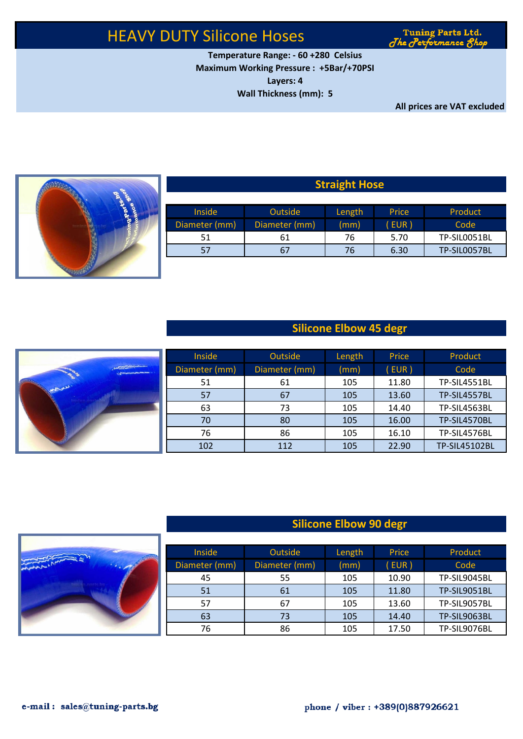# HEAVY DUTY Silicone Hoses

**Tuning Parts Ltd.** The Performance 8hop

**Temperature Range: - 60 +280 Celsius Maximum Working Pressure : +5Bar/+70PSI Layers: 4 Wall Thickness (mm): 5**

**All prices are VAT excluded**



| <b>Straight Hose</b> |                |        |       |              |  |  |  |  |
|----------------------|----------------|--------|-------|--------------|--|--|--|--|
| <b>Inside</b>        | <b>Outside</b> | Length | Price | Product      |  |  |  |  |
| Diameter (mm)        | Diameter (mm)  | (mm)   | EUR)  | Code         |  |  |  |  |
| 51                   | 61             | 76     | 5.70  | TP-SIL0051BL |  |  |  |  |
| 57                   | 67             | 76     | 6.30  | TP-SIL0057BL |  |  |  |  |

### **Straight Hose**

### **Silicone Elbow 45 degr**

|                                             | <b>Inside</b> | Outside       | Length | Price | Product       |
|---------------------------------------------|---------------|---------------|--------|-------|---------------|
| No. of Concession, Name of Street, or other | Diameter (mm) | Diameter (mm) | (mm)   | (EUR) | Code          |
|                                             | 51            | 61            | 105    | 11.80 | TP-SIL4551BL  |
|                                             | 57            | 67            | 105    | 13.60 | TP-SIL4557BL  |
|                                             | 63            | 73            | 105    | 14.40 | TP-SIL4563BL  |
|                                             | 70            | 80            | 105    | 16.00 | TP-SIL4570BL  |
|                                             | 76            | 86            | 105    | 16.10 | TP-SIL4576BL  |
|                                             | 102           | 112           | 105    | 22.90 | TP-SIL45102BL |

## **Silicone Elbow 90 degr**